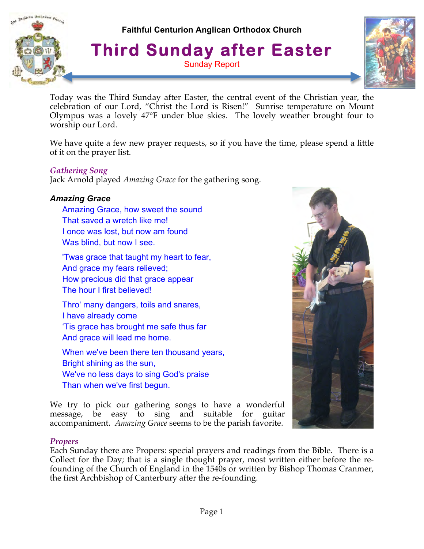malican Orthodox Charol

**Faithful Centurion Anglican Orthodox Church** 

**Third Sunday after Easter** 

Sunday Report



Today was the Third Sunday after Easter, the central event of the Christian year, the celebration of our Lord, "Christ the Lord is Risen!" Sunrise temperature on Mount Olympus was a lovely 47°F under blue skies. The lovely weather brought four to worship our Lord.

We have quite a few new prayer requests, so if you have the time, please spend a little of it on the prayer list.

# *Gathering Song*

Jack Arnold played *Amazing Grace* for the gathering song.

# *Amazing Grace*

Amazing Grace, how sweet the sound That saved a wretch like me! I once was lost, but now am found Was blind, but now I see.

'Twas grace that taught my heart to fear, And grace my fears relieved; How precious did that grace appear The hour I first believed!

Thro' many dangers, toils and snares, I have already come 'Tis grace has brought me safe thus far And grace will lead me home.

When we've been there ten thousand years, Bright shining as the sun, We've no less days to sing God's praise Than when we've first begun.

We try to pick our gathering songs to have a wonderful message, be easy to sing and suitable for guitar accompaniment. *Amazing Grace* seems to be the parish favorite.

## *Propers*

Each Sunday there are Propers: special prayers and readings from the Bible. There is a Collect for the Day; that is a single thought prayer, most written either before the refounding of the Church of England in the 1540s or written by Bishop Thomas Cranmer, the first Archbishop of Canterbury after the re-founding.

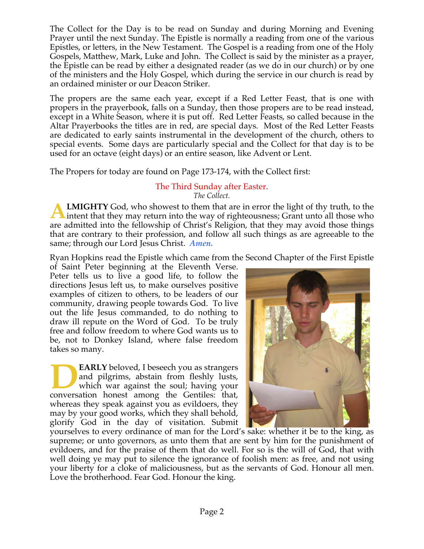The Collect for the Day is to be read on Sunday and during Morning and Evening Prayer until the next Sunday. The Epistle is normally a reading from one of the various Epistles, or letters, in the New Testament. The Gospel is a reading from one of the Holy Gospels, Matthew, Mark, Luke and John. The Collect is said by the minister as a prayer, the Epistle can be read by either a designated reader (as we do in our church) or by one of the ministers and the Holy Gospel, which during the service in our church is read by an ordained minister or our Deacon Striker.

The propers are the same each year, except if a Red Letter Feast, that is one with propers in the prayerbook, falls on a Sunday, then those propers are to be read instead, except in a White Season, where it is put off. Red Letter Feasts, so called because in the Altar Prayerbooks the titles are in red, are special days. Most of the Red Letter Feasts are dedicated to early saints instrumental in the development of the church, others to special events. Some days are particularly special and the Collect for that day is to be used for an octave (eight days) or an entire season, like Advent or Lent.

The Propers for today are found on Page 173-174, with the Collect first:

## The Third Sunday after Easter. *The Collect.*

**LMIGHTY** God, who showest to them that are in error the light of thy truth, to the **A LMIGHTY** God, who showest to them that are in error the light of thy truth, to the intent that they may return into the way of righteousness; Grant unto all those who predicted into the set of Christian Christian that t are admitted into the fellowship of Christ's Religion, that they may avoid those things that are contrary to their profession, and follow all such things as are agreeable to the same; through our Lord Jesus Christ. *Amen.*

Ryan Hopkins read the Epistle which came from the Second Chapter of the First Epistle

of Saint Peter beginning at the Eleventh Verse. Peter tells us to live a good life, to follow the directions Jesus left us, to make ourselves positive examples of citizen to others, to be leaders of our community, drawing people towards God. To live out the life Jesus commanded, to do nothing to draw ill repute on the Word of God. To be truly free and follow freedom to where God wants us to be, not to Donkey Island, where false freedom takes so many.

**EARLY** beloved, I beseech you as strangers and pilgrims, abstain from fleshly lusts, which war against the soul; having your **EARLY** beloved, I beseech you as strangers and pilgrims, abstain from fleshly lusts, which war against the soul; having your conversation honest among the Gentiles: that, whereas they speak against you as evildoers, they may by your good works, which they shall behold, glorify God in the day of visitation. Submit



yourselves to every ordinance of man for the Lord's sake: whether it be to the king, as supreme; or unto governors, as unto them that are sent by him for the punishment of evildoers, and for the praise of them that do well. For so is the will of God, that with well doing ye may put to silence the ignorance of foolish men: as free, and not using your liberty for a cloke of maliciousness, but as the servants of God. Honour all men. Love the brotherhood. Fear God. Honour the king.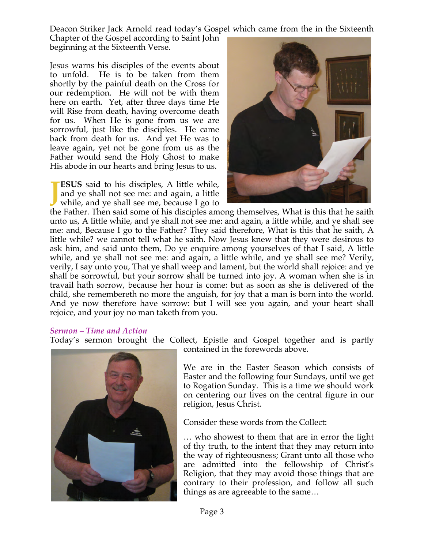Deacon Striker Jack Arnold read today's Gospel which came from the in the Sixteenth

Chapter of the Gospel according to Saint John beginning at the Sixteenth Verse.

Jesus warns his disciples of the events about to unfold. He is to be taken from them shortly by the painful death on the Cross for our redemption. He will not be with them here on earth. Yet, after three days time He will Rise from death, having overcome death for us. When He is gone from us we are sorrowful, just like the disciples. He came back from death for us. And yet He was to leave again, yet not be gone from us as the Father would send the Holy Ghost to make His abode in our hearts and bring Jesus to us.

**ESUS** said to his disciples, A little while, and ye shall not see me: and again, a little while, and ye shall see me, because I go to **J**



the Father. Then said some of his disciples among themselves, What is this that he saith unto us, A little while, and ye shall not see me: and again, a little while, and ye shall see me: and, Because I go to the Father? They said therefore, What is this that he saith, A little while? we cannot tell what he saith. Now Jesus knew that they were desirous to ask him, and said unto them, Do ye enquire among yourselves of that I said, A little while, and ye shall not see me: and again, a little while, and ye shall see me? Verily, verily, I say unto you, That ye shall weep and lament, but the world shall rejoice: and ye shall be sorrowful, but your sorrow shall be turned into joy. A woman when she is in travail hath sorrow, because her hour is come: but as soon as she is delivered of the child, she remembereth no more the anguish, for joy that a man is born into the world. And ye now therefore have sorrow: but I will see you again, and your heart shall rejoice, and your joy no man taketh from you.

## *Sermon – Time and Action*

Today's sermon brought the Collect, Epistle and Gospel together and is partly contained in the forewords above.



We are in the Easter Season which consists of Easter and the following four Sundays, until we get to Rogation Sunday. This is a time we should work on centering our lives on the central figure in our religion, Jesus Christ.

Consider these words from the Collect:

… who showest to them that are in error the light of thy truth, to the intent that they may return into the way of righteousness; Grant unto all those who are admitted into the fellowship of Christ's Religion, that they may avoid those things that are contrary to their profession, and follow all such things as are agreeable to the same…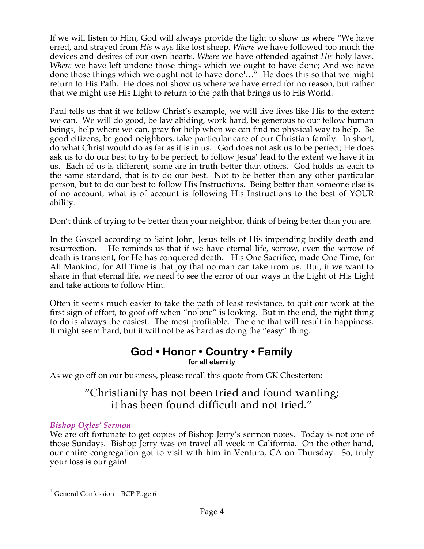If we will listen to Him, God will always provide the light to show us where "We have erred, and strayed from *His* ways like lost sheep. *Where* we have followed too much the devices and desires of our own hearts. *Where* we have offended against *His* holy laws. *Where* we have left undone those things which we ought to have done; And we have done those things which we ought not to have done<sup>1</sup>..." He does this so that we might return to His Path. He does not show us where we have erred for no reason, but rather that we might use His Light to return to the path that brings us to His World.

Paul tells us that if we follow Christ's example, we will live lives like His to the extent we can. We will do good, be law abiding, work hard, be generous to our fellow human beings, help where we can, pray for help when we can find no physical way to help. Be good citizens, be good neighbors, take particular care of our Christian family. In short, do what Christ would do as far as it is in us. God does not ask us to be perfect; He does ask us to do our best to try to be perfect, to follow Jesus' lead to the extent we have it in us. Each of us is different, some are in truth better than others. God holds us each to the same standard, that is to do our best. Not to be better than any other particular person, but to do our best to follow His Instructions. Being better than someone else is of no account, what is of account is following His Instructions to the best of YOUR ability.

Don't think of trying to be better than your neighbor, think of being better than you are.

In the Gospel according to Saint John, Jesus tells of His impending bodily death and resurrection. He reminds us that if we have eternal life, sorrow, even the sorrow of death is transient, for He has conquered death. His One Sacrifice, made One Time, for All Mankind, for All Time is that joy that no man can take from us. But, if we want to share in that eternal life, we need to see the error of our ways in the Light of His Light and take actions to follow Him.

Often it seems much easier to take the path of least resistance, to quit our work at the first sign of effort, to goof off when "no one" is looking. But in the end, the right thing to do is always the easiest. The most profitable. The one that will result in happiness. It might seem hard, but it will not be as hard as doing the "easy" thing.

# **God • Honor • Country • Family**

**for all eternity**

As we go off on our business, please recall this quote from GK Chesterton:

# "Christianity has not been tried and found wanting; it has been found difficult and not tried."

# *Bishop Ogles' Sermon*

 $\overline{a}$ 

We are oft fortunate to get copies of Bishop Jerry's sermon notes. Today is not one of those Sundays. Bishop Jerry was on travel all week in California. On the other hand, our entire congregation got to visit with him in Ventura, CA on Thursday. So, truly your loss is our gain!

 $1$  General Confession – BCP Page 6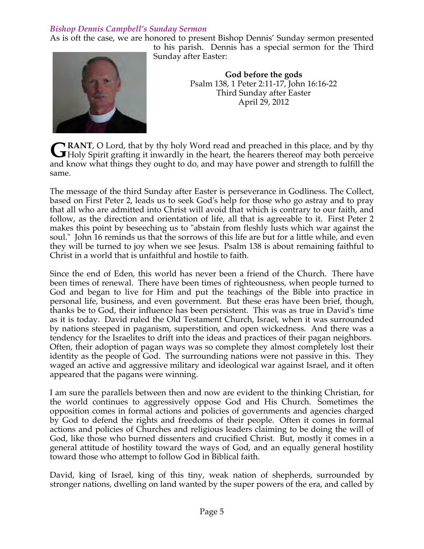# *Bishop Dennis Campbell's Sunday Sermon*

As is oft the case, we are honored to present Bishop Dennis' Sunday sermon presented



to his parish. Dennis has a special sermon for the Third Sunday after Easter:

> **God before the gods**  Psalm 138, 1 Peter 2:11-17, John 16:16-22 Third Sunday after Easter April 29, 2012

**RANT**, O Lord, that by thy holy Word read and preached in this place, and by thy GRANT, O Lord, that by thy holy Word read and preached in this place, and by thy Holy Spirit grafting it inwardly in the heart, the hearers thereof may both perceive and know what things they ought to do, and may have power and strength to fulfill the same.

The message of the third Sunday after Easter is perseverance in Godliness. The Collect, based on First Peter 2, leads us to seek God's help for those who go astray and to pray that all who are admitted into Christ will avoid that which is contrary to our faith, and follow, as the direction and orientation of life, all that is agreeable to it. First Peter 2 makes this point by beseeching us to "abstain from fleshly lusts which war against the soul." John 16 reminds us that the sorrows of this life are but for a little while, and even they will be turned to joy when we see Jesus. Psalm 138 is about remaining faithful to Christ in a world that is unfaithful and hostile to faith.

Since the end of Eden, this world has never been a friend of the Church. There have been times of renewal. There have been times of righteousness, when people turned to God and began to live for Him and put the teachings of the Bible into practice in personal life, business, and even government. But these eras have been brief, though, thanks be to God, their influence has been persistent. This was as true in David's time as it is today. David ruled the Old Testament Church, Israel, when it was surrounded by nations steeped in paganism, superstition, and open wickedness. And there was a tendency for the Israelites to drift into the ideas and practices of their pagan neighbors. Often, their adoption of pagan ways was so complete they almost completely lost their identity as the people of God. The surrounding nations were not passive in this. They waged an active and aggressive military and ideological war against Israel, and it often appeared that the pagans were winning.

I am sure the parallels between then and now are evident to the thinking Christian, for the world continues to aggressively oppose God and His Church. Sometimes the opposition comes in formal actions and policies of governments and agencies charged by God to defend the rights and freedoms of their people. Often it comes in formal actions and policies of Churches and religious leaders claiming to be doing the will of God, like those who burned dissenters and crucified Christ. But, mostly it comes in a general attitude of hostility toward the ways of God, and an equally general hostility toward those who attempt to follow God in Biblical faith.

David, king of Israel, king of this tiny, weak nation of shepherds, surrounded by stronger nations, dwelling on land wanted by the super powers of the era, and called by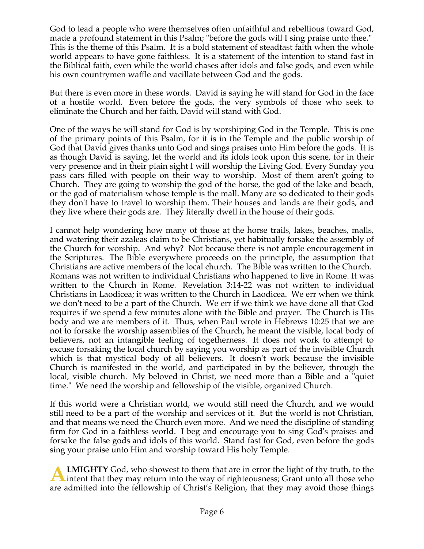God to lead a people who were themselves often unfaithful and rebellious toward God, made a profound statement in this Psalm; "before the gods will I sing praise unto thee." This is the theme of this Psalm. It is a bold statement of steadfast faith when the whole world appears to have gone faithless. It is a statement of the intention to stand fast in the Biblical faith, even while the world chases after idols and false gods, and even while his own countrymen waffle and vacillate between God and the gods.

But there is even more in these words. David is saying he will stand for God in the face of a hostile world. Even before the gods, the very symbols of those who seek to eliminate the Church and her faith, David will stand with God.

One of the ways he will stand for God is by worshiping God in the Temple. This is one of the primary points of this Psalm, for it is in the Temple and the public worship of God that David gives thanks unto God and sings praises unto Him before the gods. It is as though David is saying, let the world and its idols look upon this scene, for in their very presence and in their plain sight I will worship the Living God. Every Sunday you pass cars filled with people on their way to worship. Most of them aren't going to Church. They are going to worship the god of the horse, the god of the lake and beach, or the god of materialism whose temple is the mall. Many are so dedicated to their gods they don't have to travel to worship them. Their houses and lands are their gods, and they live where their gods are. They literally dwell in the house of their gods.

I cannot help wondering how many of those at the horse trails, lakes, beaches, malls, and watering their azaleas claim to be Christians, yet habitually forsake the assembly of the Church for worship. And why? Not because there is not ample encouragement in the Scriptures. The Bible everywhere proceeds on the principle, the assumption that Christians are active members of the local church. The Bible was written to the Church. Romans was not written to individual Christians who happened to live in Rome. It was written to the Church in Rome. Revelation 3:14-22 was not written to individual Christians in Laodicea; it was written to the Church in Laodicea. We err when we think we don't need to be a part of the Church. We err if we think we have done all that God requires if we spend a few minutes alone with the Bible and prayer. The Church is His body and we are members of it. Thus, when Paul wrote in Hebrews 10:25 that we are not to forsake the worship assemblies of the Church, he meant the visible, local body of believers, not an intangible feeling of togetherness. It does not work to attempt to excuse forsaking the local church by saying you worship as part of the invisible Church which is that mystical body of all believers. It doesn't work because the invisible Church is manifested in the world, and participated in by the believer, through the local, visible church. My beloved in Christ, we need more than a Bible and a "quiet time." We need the worship and fellowship of the visible, organized Church.

If this world were a Christian world, we would still need the Church, and we would still need to be a part of the worship and services of it. But the world is not Christian, and that means we need the Church even more. And we need the discipline of standing firm for God in a faithless world. I beg and encourage you to sing God's praises and forsake the false gods and idols of this world. Stand fast for God, even before the gods sing your praise unto Him and worship toward His holy Temple.

**LMIGHTY** God, who showest to them that are in error the light of thy truth, to the **A LMIGHTY** God, who showest to them that are in error the light of thy truth, to the intent that they may return into the way of righteousness; Grant unto all those who are admitted into the fellowship of Christ's Religion, that they may avoid those things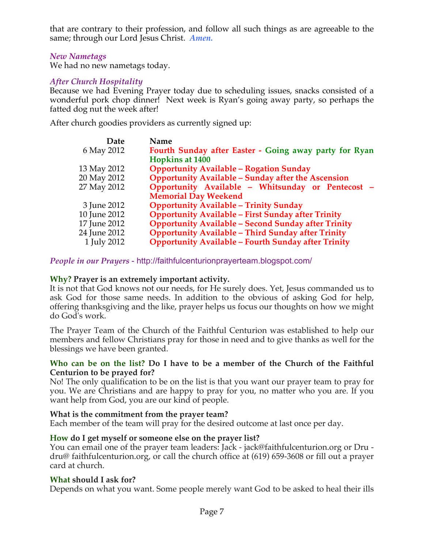that are contrary to their profession, and follow all such things as are agreeable to the same; through our Lord Jesus Christ. *Amen.*

## *New Nametags*

We had no new nametags today.

## *After Church Hospitality*

Because we had Evening Prayer today due to scheduling issues, snacks consisted of a wonderful pork chop dinner! Next week is Ryan's going away party, so perhaps the fatted dog nut the week after!

After church goodies providers as currently signed up:

| Date         | Name                                                       |
|--------------|------------------------------------------------------------|
| 6 May 2012   | Fourth Sunday after Easter - Going away party for Ryan     |
|              | Hopkins at 1400                                            |
| 13 May 2012  | <b>Opportunity Available - Rogation Sunday</b>             |
| 20 May 2012  | <b>Opportunity Available - Sunday after the Ascension</b>  |
| 27 May 2012  | Opportunity Available - Whitsunday or Pentecost -          |
|              | <b>Memorial Day Weekend</b>                                |
| 3 June 2012  | <b>Opportunity Available - Trinity Sunday</b>              |
| 10 June 2012 | <b>Opportunity Available - First Sunday after Trinity</b>  |
| 17 June 2012 | <b>Opportunity Available - Second Sunday after Trinity</b> |
| 24 June 2012 | <b>Opportunity Available - Third Sunday after Trinity</b>  |
| 1 July 2012  | <b>Opportunity Available - Fourth Sunday after Trinity</b> |

*People in our Prayers* - http://faithfulcenturionprayerteam.blogspot.com/

## **Why? Prayer is an extremely important activity.**

It is not that God knows not our needs, for He surely does. Yet, Jesus commanded us to ask God for those same needs. In addition to the obvious of asking God for help, offering thanksgiving and the like, prayer helps us focus our thoughts on how we might do God's work.

The Prayer Team of the Church of the Faithful Centurion was established to help our members and fellow Christians pray for those in need and to give thanks as well for the blessings we have been granted.

## **Who can be on the list? Do I have to be a member of the Church of the Faithful Centurion to be prayed for?**

No! The only qualification to be on the list is that you want our prayer team to pray for you. We are Christians and are happy to pray for you, no matter who you are. If you want help from God, you are our kind of people.

## **What is the commitment from the prayer team?**

Each member of the team will pray for the desired outcome at last once per day.

## **How do I get myself or someone else on the prayer list?**

You can email one of the prayer team leaders: Jack - jack@faithfulcenturion.org or Dru dru@ faithfulcenturion.org, or call the church office at (619) 659-3608 or fill out a prayer card at church.

## **What should I ask for?**

Depends on what you want. Some people merely want God to be asked to heal their ills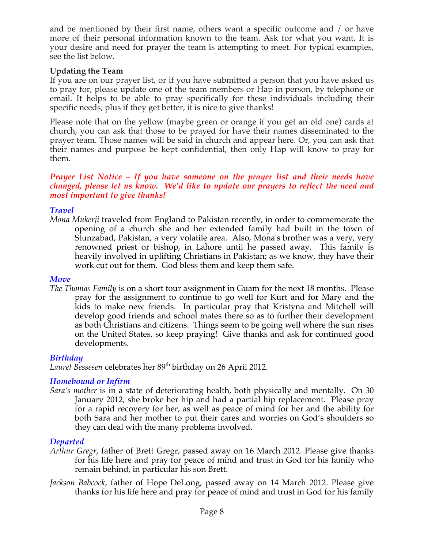and be mentioned by their first name, others want a specific outcome and / or have more of their personal information known to the team. Ask for what you want. It is your desire and need for prayer the team is attempting to meet. For typical examples, see the list below.

## **Updating the Team**

If you are on our prayer list, or if you have submitted a person that you have asked us to pray for, please update one of the team members or Hap in person, by telephone or email. It helps to be able to pray specifically for these individuals including their specific needs; plus if they get better, it is nice to give thanks!

Please note that on the yellow (maybe green or orange if you get an old one) cards at church, you can ask that those to be prayed for have their names disseminated to the prayer team. Those names will be said in church and appear here. Or, you can ask that their names and purpose be kept confidential, then only Hap will know to pray for them.

## *Prayer List Notice – If you have someone on the prayer list and their needs have changed, please let us know. We'd like to update our prayers to reflect the need and most important to give thanks!*

## *Travel*

*Mona Mukerji* traveled from England to Pakistan recently, in order to commemorate the opening of a church she and her extended family had built in the town of Stunzabad, Pakistan, a very volatile area. Also, Mona's brother was a very, very renowned priest or bishop, in Lahore until he passed away. This family is heavily involved in uplifting Christians in Pakistan; as we know, they have their work cut out for them. God bless them and keep them safe.

## *Move*

*The Thomas Family* is on a short tour assignment in Guam for the next 18 months. Please pray for the assignment to continue to go well for Kurt and for Mary and the kids to make new friends. In particular pray that Kristyna and Mitchell will develop good friends and school mates there so as to further their development as both Christians and citizens. Things seem to be going well where the sun rises on the United States, so keep praying! Give thanks and ask for continued good developments.

## *Birthday*

Laurel Bessesen celebrates her 89<sup>th</sup> birthday on 26 April 2012.

## *Homebound or Infirm*

*Sara's mother* is in a state of deteriorating health, both physically and mentally. On 30 January 2012, she broke her hip and had a partial hip replacement. Please pray for a rapid recovery for her, as well as peace of mind for her and the ability for both Sara and her mother to put their cares and worries on God's shoulders so they can deal with the many problems involved.

## *Departed*

- *Arthur Gregr*, father of Brett Gregr, passed away on 16 March 2012. Please give thanks for his life here and pray for peace of mind and trust in God for his family who remain behind, in particular his son Brett.
- *Jackson Babcock*, father of Hope DeLong, passed away on 14 March 2012. Please give thanks for his life here and pray for peace of mind and trust in God for his family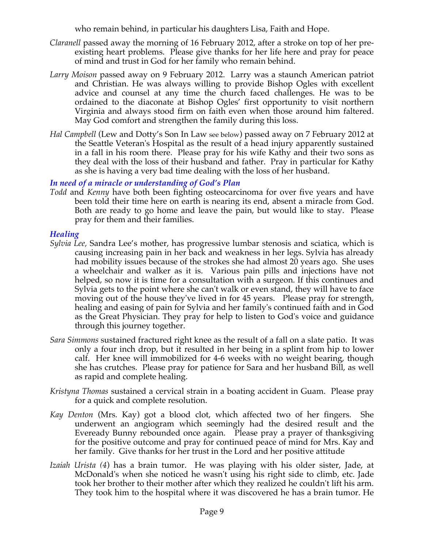who remain behind, in particular his daughters Lisa, Faith and Hope.

- *Claranell* passed away the morning of 16 February 2012, after a stroke on top of her preexisting heart problems. Please give thanks for her life here and pray for peace of mind and trust in God for her family who remain behind.
- *Larry Moison* passed away on 9 February 2012. Larry was a staunch American patriot and Christian. He was always willing to provide Bishop Ogles with excellent advice and counsel at any time the church faced challenges. He was to be ordained to the diaconate at Bishop Ogles' first opportunity to visit northern Virginia and always stood firm on faith even when those around him faltered. May God comfort and strengthen the family during this loss.
- *Hal Campbell* (Lew and Dotty's Son In Law see below) passed away on 7 February 2012 at the Seattle Veteran's Hospital as the result of a head injury apparently sustained in a fall in his room there. Please pray for his wife Kathy and their two sons as they deal with the loss of their husband and father. Pray in particular for Kathy as she is having a very bad time dealing with the loss of her husband.

## *In need of a miracle or understanding of God's Plan*

*Todd* and *Kenny* have both been fighting osteocarcinoma for over five years and have been told their time here on earth is nearing its end, absent a miracle from God. Both are ready to go home and leave the pain, but would like to stay. Please pray for them and their families.

## *Healing*

- *Sylvia Lee,* Sandra Lee's mother, has progressive lumbar stenosis and sciatica, which is causing increasing pain in her back and weakness in her legs. Sylvia has already had mobility issues because of the strokes she had almost 20 years ago. She uses a wheelchair and walker as it is. Various pain pills and injections have not helped, so now it is time for a consultation with a surgeon. If this continues and Sylvia gets to the point where she can't walk or even stand, they will have to face moving out of the house they've lived in for 45 years. Please pray for strength, healing and easing of pain for Sylvia and her family's continued faith and in God as the Great Physician. They pray for help to listen to God's voice and guidance through this journey together.
- *Sara Simmons* sustained fractured right knee as the result of a fall on a slate patio. It was only a four inch drop, but it resulted in her being in a splint from hip to lower calf. Her knee will immobilized for 4-6 weeks with no weight bearing, though she has crutches. Please pray for patience for Sara and her husband Bill, as well as rapid and complete healing.
- *Kristyna Thomas* sustained a cervical strain in a boating accident in Guam. Please pray for a quick and complete resolution.
- *Kay Denton* (Mrs. Kay) got a blood clot, which affected two of her fingers. She underwent an angiogram which seemingly had the desired result and the Eveready Bunny rebounded once again. Please pray a prayer of thanksgiving for the positive outcome and pray for continued peace of mind for Mrs. Kay and her family. Give thanks for her trust in the Lord and her positive attitude.
- *Izaiah Urista (4*) has a brain tumor. He was playing with his older sister, Jade, at McDonald's when she noticed he wasn't using his right side to climb, etc. Jade took her brother to their mother after which they realized he couldn't lift his arm. They took him to the hospital where it was discovered he has a brain tumor. He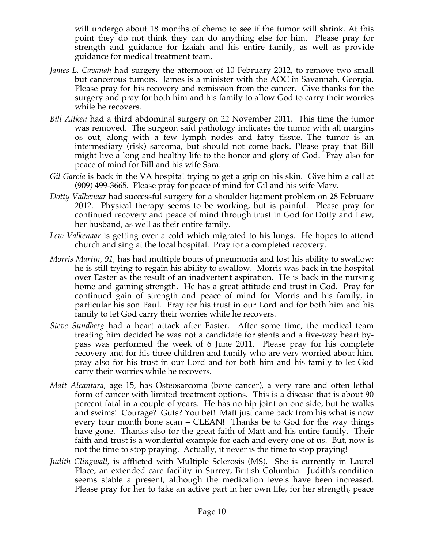will undergo about 18 months of chemo to see if the tumor will shrink. At this point they do not think they can do anything else for him. Please pray for strength and guidance for Izaiah and his entire family, as well as provide guidance for medical treatment team.

- *James L. Cavanah* had surgery the afternoon of 10 February 2012, to remove two small but cancerous tumors. James is a minister with the AOC in Savannah, Georgia. Please pray for his recovery and remission from the cancer. Give thanks for the surgery and pray for both him and his family to allow God to carry their worries while he recovers.
- *Bill Aitken* had a third abdominal surgery on 22 November 2011. This time the tumor was removed. The surgeon said pathology indicates the tumor with all margins os out, along with a few lymph nodes and fatty tissue. The tumor is an intermediary (risk) sarcoma, but should not come back. Please pray that Bill might live a long and healthy life to the honor and glory of God. Pray also for peace of mind for Bill and his wife Sara.
- *Gil Garcia* is back in the VA hospital trying to get a grip on his skin. Give him a call at (909) 499-3665. Please pray for peace of mind for Gil and his wife Mary.
- *Dotty Valkenaar* had successful surgery for a shoulder ligament problem on 28 February 2012. Physical therapy seems to be working, but is painful. Please pray for continued recovery and peace of mind through trust in God for Dotty and Lew, her husband, as well as their entire family.
- *Lew Valkenaar* is getting over a cold which migrated to his lungs. He hopes to attend church and sing at the local hospital. Pray for a completed recovery.
- *Morris Martin, 91,* has had multiple bouts of pneumonia and lost his ability to swallow; he is still trying to regain his ability to swallow. Morris was back in the hospital over Easter as the result of an inadvertent aspiration. He is back in the nursing home and gaining strength. He has a great attitude and trust in God. Pray for continued gain of strength and peace of mind for Morris and his family, in particular his son Paul. Pray for his trust in our Lord and for both him and his family to let God carry their worries while he recovers.
- *Steve Sundberg* had a heart attack after Easter. After some time, the medical team treating him decided he was not a candidate for stents and a five-way heart bypass was performed the week of 6 June 2011. Please pray for his complete recovery and for his three children and family who are very worried about him, pray also for his trust in our Lord and for both him and his family to let God carry their worries while he recovers.
- *Matt Alcantara*, age 15, has Osteosarcoma (bone cancer), a very rare and often lethal form of cancer with limited treatment options. This is a disease that is about 90 percent fatal in a couple of years. He has no hip joint on one side, but he walks and swims! Courage? Guts? You bet! Matt just came back from his what is now every four month bone scan – CLEAN! Thanks be to God for the way things have gone. Thanks also for the great faith of Matt and his entire family. Their faith and trust is a wonderful example for each and every one of us. But, now is not the time to stop praying. Actually, it never is the time to stop praying!
- *Judith Clingwall*, is afflicted with Multiple Sclerosis (MS). She is currently in Laurel Place, an extended care facility in Surrey, British Columbia. Judith's condition seems stable a present, although the medication levels have been increased. Please pray for her to take an active part in her own life, for her strength, peace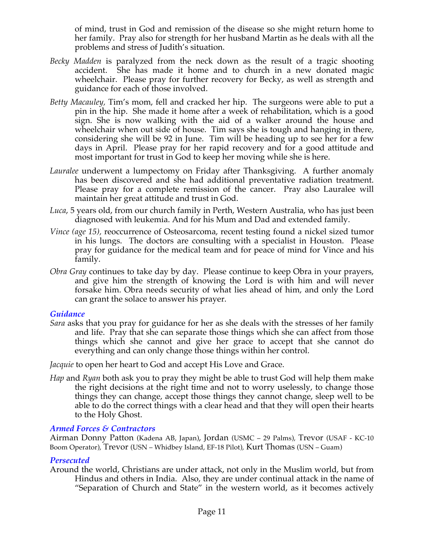of mind, trust in God and remission of the disease so she might return home to her family. Pray also for strength for her husband Martin as he deals with all the problems and stress of Judith's situation.

- *Becky Madden* is paralyzed from the neck down as the result of a tragic shooting accident. She has made it home and to church in a new donated magic wheelchair. Please pray for further recovery for Becky, as well as strength and guidance for each of those involved.
- *Betty Macauley,* Tim's mom, fell and cracked her hip. The surgeons were able to put a pin in the hip. She made it home after a week of rehabilitation, which is a good sign. She is now walking with the aid of a walker around the house and wheelchair when out side of house. Tim says she is tough and hanging in there, considering she will be 92 in June. Tim will be heading up to see her for a few days in April. Please pray for her rapid recovery and for a good attitude and most important for trust in God to keep her moving while she is here.
- *Lauralee* underwent a lumpectomy on Friday after Thanksgiving. A further anomaly has been discovered and she had additional preventative radiation treatment. Please pray for a complete remission of the cancer. Pray also Lauralee will maintain her great attitude and trust in God.
- *Luca*, 5 years old, from our church family in Perth, Western Australia, who has just been diagnosed with leukemia. And for his Mum and Dad and extended family.
- *Vince (age 15),* reoccurrence of Osteosarcoma, recent testing found a nickel sized tumor in his lungs. The doctors are consulting with a specialist in Houston. Please pray for guidance for the medical team and for peace of mind for Vince and his family.
- *Obra Gray* continues to take day by day. Please continue to keep Obra in your prayers, and give him the strength of knowing the Lord is with him and will never forsake him. Obra needs security of what lies ahead of him, and only the Lord can grant the solace to answer his prayer.

## *Guidance*

*Sara* asks that you pray for guidance for her as she deals with the stresses of her family and life. Pray that she can separate those things which she can affect from those things which she cannot and give her grace to accept that she cannot do everything and can only change those things within her control.

*Jacquie* to open her heart to God and accept His Love and Grace.

*Hap* and *Ryan* both ask you to pray they might be able to trust God will help them make the right decisions at the right time and not to worry uselessly, to change those things they can change, accept those things they cannot change, sleep well to be able to do the correct things with a clear head and that they will open their hearts to the Holy Ghost.

## *Armed Forces & Contractors*

Airman Donny Patton (Kadena AB, Japan), Jordan (USMC – 29 Palms), Trevor (USAF - KC-10 Boom Operator), Trevor (USN – Whidbey Island, EF-18 Pilot), Kurt Thomas (USN – Guam)

## *Persecuted*

Around the world, Christians are under attack, not only in the Muslim world, but from Hindus and others in India. Also, they are under continual attack in the name of "Separation of Church and State" in the western world, as it becomes actively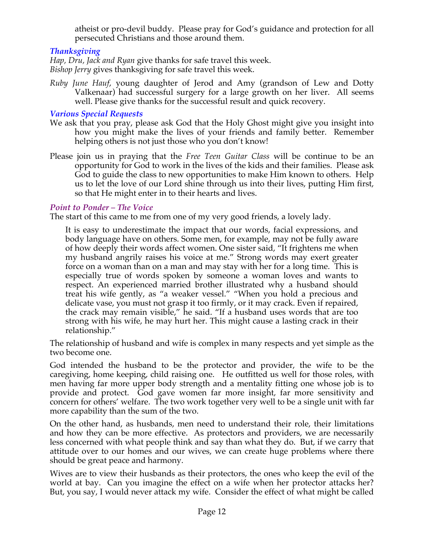atheist or pro-devil buddy. Please pray for God's guidance and protection for all persecuted Christians and those around them.

# *Thanksgiving*

*Hap, Dru, Jack and Ryan* give thanks for safe travel this week. *Bishop Jerry* gives thanksgiving for safe travel this week.

*Ruby June Hauf*, young daughter of Jerod and Amy (grandson of Lew and Dotty Valkenaar) had successful surgery for a large growth on her liver. All seems well. Please give thanks for the successful result and quick recovery.

## *Various Special Requests*

- We ask that you pray, please ask God that the Holy Ghost might give you insight into how you might make the lives of your friends and family better. Remember helping others is not just those who you don't know!
- Please join us in praying that the *Free Teen Guitar Class* will be continue to be an opportunity for God to work in the lives of the kids and their families. Please ask God to guide the class to new opportunities to make Him known to others. Help us to let the love of our Lord shine through us into their lives, putting Him first, so that He might enter in to their hearts and lives.

## *Point to Ponder – The Voice*

The start of this came to me from one of my very good friends, a lovely lady.

It is easy to underestimate the impact that our words, facial expressions, and body language have on others. Some men, for example, may not be fully aware of how deeply their words affect women. One sister said, "It frightens me when my husband angrily raises his voice at me." Strong words may exert greater force on a woman than on a man and may stay with her for a long time. This is especially true of words spoken by someone a woman loves and wants to respect. An experienced married brother illustrated why a husband should treat his wife gently, as "a weaker vessel." "When you hold a precious and delicate vase, you must not grasp it too firmly, or it may crack. Even if repaired, the crack may remain visible," he said. "If a husband uses words that are too strong with his wife, he may hurt her. This might cause a lasting crack in their relationship."

The relationship of husband and wife is complex in many respects and yet simple as the two become one.

God intended the husband to be the protector and provider, the wife to be the caregiving, home keeping, child raising one. He outfitted us well for those roles, with men having far more upper body strength and a mentality fitting one whose job is to provide and protect. God gave women far more insight, far more sensitivity and concern for others' welfare. The two work together very well to be a single unit with far more capability than the sum of the two.

On the other hand, as husbands, men need to understand their role, their limitations and how they can be more effective. As protectors and providers, we are necessarily less concerned with what people think and say than what they do. But, if we carry that attitude over to our homes and our wives, we can create huge problems where there should be great peace and harmony.

Wives are to view their husbands as their protectors, the ones who keep the evil of the world at bay. Can you imagine the effect on a wife when her protector attacks her? But, you say, I would never attack my wife. Consider the effect of what might be called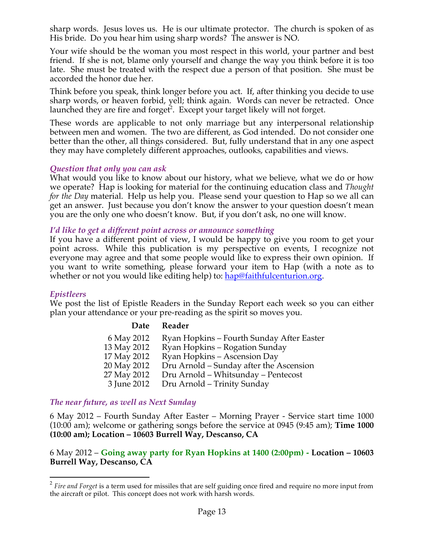sharp words. Jesus loves us. He is our ultimate protector. The church is spoken of as His bride. Do you hear him using sharp words? The answer is NO.

Your wife should be the woman you most respect in this world, your partner and best friend. If she is not, blame only yourself and change the way you think before it is too late. She must be treated with the respect due a person of that position. She must be accorded the honor due her.

Think before you speak, think longer before you act. If, after thinking you decide to use sharp words, or heaven forbid, yell; think again. Words can never be retracted. Once launched they are fire and forget<sup>2</sup>. Except your target likely will not forget.

These words are applicable to not only marriage but any interpersonal relationship between men and women. The two are different, as God intended. Do not consider one better than the other, all things considered. But, fully understand that in any one aspect they may have completely different approaches, outlooks, capabilities and views.

## *Question that only you can ask*

What would you like to know about our history, what we believe, what we do or how we operate? Hap is looking for material for the continuing education class and *Thought for the Day* material. Help us help you. Please send your question to Hap so we all can get an answer. Just because you don't know the answer to your question doesn't mean you are the only one who doesn't know. But, if you don't ask, no one will know.

#### *I'd like to get a different point across or announce something*

If you have a different point of view, I would be happy to give you room to get your point across. While this publication is my perspective on events, I recognize not everyone may agree and that some people would like to express their own opinion. If you want to write something, please forward your item to Hap (with a note as to whether or not you would like editing help) to: hap@faithfulcenturion.org.

#### *Epistleers*

 $\overline{a}$ 

We post the list of Epistle Readers in the Sunday Report each week so you can either plan your attendance or your pre-reading as the spirit so moves you.

#### **Date Reader**

| 6 May 2012  | Ryan Hopkins – Fourth Sunday After Easter |
|-------------|-------------------------------------------|
| 13 May 2012 | Ryan Hopkins - Rogation Sunday            |
| 17 May 2012 | Ryan Hopkins - Ascension Day              |
| 20 May 2012 | Dru Arnold – Sunday after the Ascension   |
| 27 May 2012 | Dru Arnold - Whitsunday - Pentecost       |
| 3 June 2012 | Dru Arnold - Trinity Sunday               |

## *The near future, as well as Next Sunday*

6 May 2012 – Fourth Sunday After Easter – Morning Prayer - Service start time 1000 (10:00 am); welcome or gathering songs before the service at 0945 (9:45 am); **Time 1000 (10:00 am); Location – 10603 Burrell Way, Descanso, CA** 

6 May 2012 – **Going away party for Ryan Hopkins at 1400 (2:00pm) - Location – 10603 Burrell Way, Descanso, CA** 

<sup>2</sup> *Fire and Forget* is a term used for missiles that are self guiding once fired and require no more input from the aircraft or pilot. This concept does not work with harsh words.